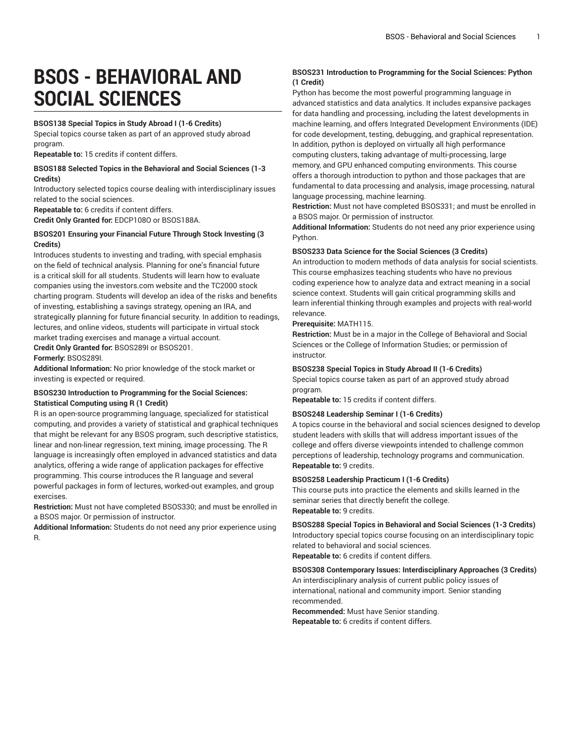# **BSOS - BEHAVIORAL AND SOCIAL SCIENCES**

#### **BSOS138 Special Topics in Study Abroad I (1-6 Credits)**

Special topics course taken as part of an approved study abroad program.

**Repeatable to:** 15 credits if content differs.

#### **BSOS188 Selected Topics in the Behavioral and Social Sciences (1-3 Credits)**

Introductory selected topics course dealing with interdisciplinary issues related to the social sciences.

**Repeatable to:** 6 credits if content differs.

**Credit Only Granted for:** EDCP108O or BSOS188A.

# **BSOS201 Ensuring your Financial Future Through Stock Investing (3 Credits)**

Introduces students to investing and trading, with special emphasis on the field of technical analysis. Planning for one's financial future is a critical skill for all students. Students will learn how to evaluate companies using the investors.com website and the TC2000 stock charting program. Students will develop an idea of the risks and benefits of investing, establishing a savings strategy, opening an IRA, and strategically planning for future financial security. In addition to readings, lectures, and online videos, students will participate in virtual stock market trading exercises and manage a virtual account.

**Credit Only Granted for:** BSOS289I or BSOS201.

**Formerly:** BSOS289I.

**Additional Information:** No prior knowledge of the stock market or investing is expected or required.

# **BSOS230 Introduction to Programming for the Social Sciences: Statistical Computing using R (1 Credit)**

R is an open-source programming language, specialized for statistical computing, and provides a variety of statistical and graphical techniques that might be relevant for any BSOS program, such descriptive statistics, linear and non-linear regression, text mining, image processing. The R language is increasingly often employed in advanced statistics and data analytics, offering a wide range of application packages for effective programming. This course introduces the R language and several powerful packages in form of lectures, worked-out examples, and group exercises.

**Restriction:** Must not have completed BSOS330; and must be enrolled in a BSOS major. Or permission of instructor.

**Additional Information:** Students do not need any prior experience using R.

# **BSOS231 Introduction to Programming for the Social Sciences: Python (1 Credit)**

Python has become the most powerful programming language in advanced statistics and data analytics. It includes expansive packages for data handling and processing, including the latest developments in machine learning, and offers Integrated Development Environments (IDE) for code development, testing, debugging, and graphical representation. In addition, python is deployed on virtually all high performance computing clusters, taking advantage of multi-processing, large memory, and GPU enhanced computing environments. This course offers a thorough introduction to python and those packages that are fundamental to data processing and analysis, image processing, natural language processing, machine learning.

**Restriction:** Must not have completed BSOS331; and must be enrolled in a BSOS major. Or permission of instructor.

**Additional Information:** Students do not need any prior experience using Python.

#### **BSOS233 Data Science for the Social Sciences (3 Credits)**

An introduction to modern methods of data analysis for social scientists. This course emphasizes teaching students who have no previous coding experience how to analyze data and extract meaning in a social science context. Students will gain critical programming skills and learn inferential thinking through examples and projects with real-world relevance.

#### **Prerequisite:** MATH115.

**Restriction:** Must be in a major in the College of Behavioral and Social Sciences or the College of Information Studies; or permission of instructor.

#### **BSOS238 Special Topics in Study Abroad II (1-6 Credits)**

Special topics course taken as part of an approved study abroad program.

**Repeatable to:** 15 credits if content differs.

# **BSOS248 Leadership Seminar I (1-6 Credits)**

A topics course in the behavioral and social sciences designed to develop student leaders with skills that will address important issues of the college and offers diverse viewpoints intended to challenge common perceptions of leadership, technology programs and communication. **Repeatable to:** 9 credits.

#### **BSOS258 Leadership Practicum I (1-6 Credits)**

This course puts into practice the elements and skills learned in the seminar series that directly benefit the college. **Repeatable to:** 9 credits.

**BSOS288 Special Topics in Behavioral and Social Sciences (1-3 Credits)** Introductory special topics course focusing on an interdisciplinary topic related to behavioral and social sciences. **Repeatable to:** 6 credits if content differs.

**BSOS308 Contemporary Issues: Interdisciplinary Approaches (3 Credits)**

An interdisciplinary analysis of current public policy issues of international, national and community import. Senior standing recommended.

**Recommended:** Must have Senior standing. **Repeatable to:** 6 credits if content differs.